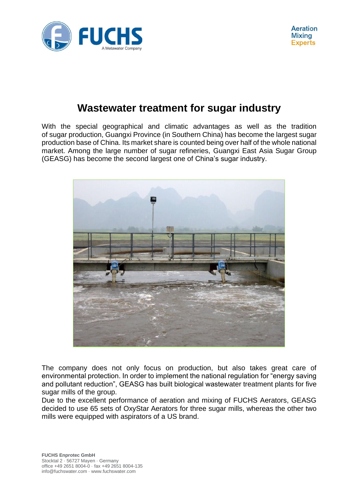

## **Wastewater treatment for sugar industry**

With the special geographical and climatic advantages as well as the tradition of sugar production, Guangxi Province (in Southern China) has become the largest sugar production base of China. Its market share is counted being over half of the whole national market. Among the large number of sugar refineries, Guangxi East Asia Sugar Group (GEASG) has become the second largest one of China's sugar industry.



The company does not only focus on production, but also takes great care of environmental protection. In order to implement the national regulation for "energy saving and pollutant reduction", GEASG has built biological wastewater treatment plants for five sugar mills of the group.

Due to the excellent performance of aeration and mixing of FUCHS Aerators, GEASG decided to use 65 sets of OxyStar Aerators for three sugar mills, whereas the other two mills were equipped with aspirators of a US brand.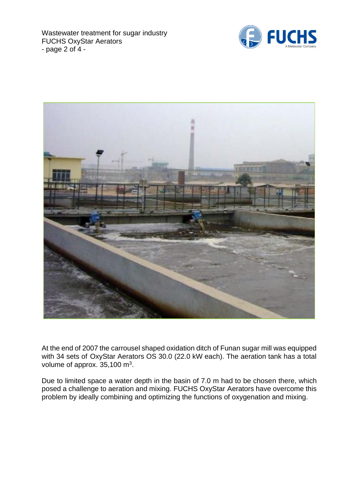Wastewater treatment for sugar industry FUCHS OxyStar Aerators - page 2 of 4 -





At the end of 2007 the carrousel shaped oxidation ditch of Funan sugar mill was equipped with 34 sets of OxyStar Aerators OS 30.0 (22.0 kW each). The aeration tank has a total volume of approx.  $35,100$  m<sup>3</sup>.

Due to limited space a water depth in the basin of 7.0 m had to be chosen there, which posed a challenge to aeration and mixing. FUCHS OxyStar Aerators have overcome this problem by ideally combining and optimizing the functions of oxygenation and mixing.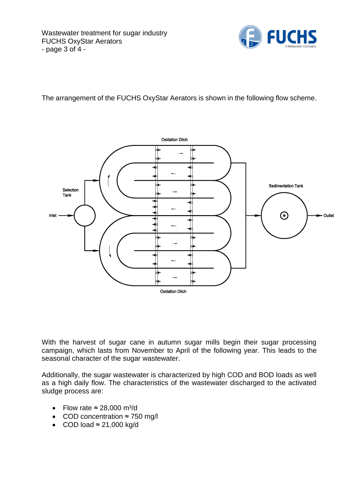

The arrangement of the FUCHS OxyStar Aerators is shown in the following flow scheme.



With the harvest of sugar cane in autumn sugar mills begin their sugar processing campaign, which lasts from November to April of the following year. This leads to the seasonal character of the sugar wastewater.

Additionally, the sugar wastewater is characterized by high COD and BOD loads as well as a high daily flow. The characteristics of the wastewater discharged to the activated sludge process are:

- Flow rate  $\approx$  28,000 m<sup>3</sup>/d
- COD concentration ≈ 750 mg/l
- COD load  $\approx$  21,000 kg/d